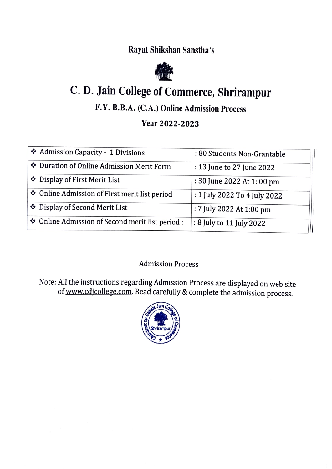Rayat Shikshan Sanstha's



# C. D. Jain College of Commerce, Shrirampur

### F.Y. B.B.A. (C.A.) Online Admission Process

#### Year 2022-2023

| Admission Capacity - 1 Divisions                 | : 80 Students Non-Grantable  |
|--------------------------------------------------|------------------------------|
| Duration of Online Admission Merit Form          | : 13 June to 27 June 2022    |
| Display of First Merit List                      | : 30 June 2022 At 1: 00 pm   |
| ❖ Online Admission of First merit list period    | : 1 July 2022 To 4 July 2022 |
| ❖ Display of Second Merit List                   | : 7 July 2022 At 1:00 pm     |
| ❖ Online Admission of Second merit list period : | : 8 July to 11 July 2022     |

#### Admission Process

Note: All the instructions regarding Admission Process are displayed on web site of www.cdicollege.com. Read carefully & complete the admission process.

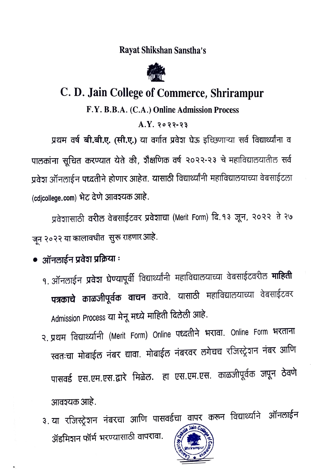### Rayat Shikshan Sanstha's



# C. D. Jain College of Commerce, Shrirampur

#### F.Y. B.B.A. (C.A.) Online Admission Process

#### $A.Y. 2022-23$

प्रथम वर्ष बी.बी.ए. (सी.ए.) या वर्गात प्रवेश घेऊ इच्छिणाऱ्या सर्व विद्यार्थ्यांना व पालकांना सूचित करण्यात येते की, शैक्षणिक वर्ष २०२२-२३ चे महाविद्यालयातील सर्व प्रवेश ऑनलाईन पध्दतीने होणार आहेत. यासाठी विद्यार्थ्यांनी महाविद्यालयाच्या वेबसाईटला (cdjcollege.com) भेट देणे आवश्यक आहे.

प्रवेशासाठी वरील वेबसाईटवर प्रवेशाचा (Merit Form) दि. १३ जून, २०२२ ते २७ जून २०२२ या कालावधीत सुरू राहणार आहे.

- ऑनलाईन प्रवेश प्रक्रिया :
	- १. ऑनलाईन प्रवेश घेण्यापूर्वी विद्यार्थ्यांनी महाविद्यालयाच्या वेबसाईटवरील **माहिती** पत्रकाचे काळजीपूर्वक वाचन करावे. यासाठी महाविद्यालयाच्या वेबसाईटवर Admission Process या मेनू मध्ये माहिती दिलेली आहे.
	- २. प्रथम विद्यार्थ्यानी (Merit Form) Online पध्दतीने भरावा. Online Form भरताना स्वतःचा मोबाईल नंबर द्यावा. मोबाईल नंबरवर लगेचच रजिस्ट्रेशन नंबर आणि पासवर्ड एस.एम.एस.द्वारे मिळेल. हा एस.एम.एस. काळजीपूर्वक जपून ठेवणे .आवञ्यक आहे.
	- ३. या रजिस्ट्रेशन नंबरचा आणि पासवर्डचा वापर करून विद्यार्थ्याने ऑनलाईन ॲडमिशन फॉर्म भरण्यासाठी वापरावा.

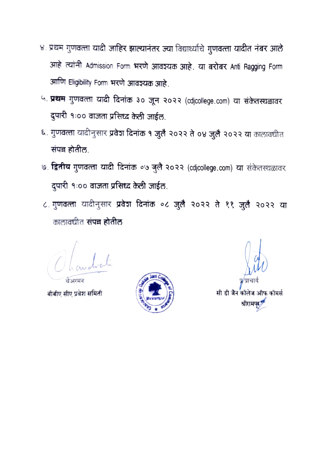- ४. प्रथम गुणवत्ता यादी जाहिर झाल्यानंतर ज्या विद्यार्थ्याचे गुणवत्ता यादीत नंबर आले आहे त्यांनी Admission Form भरणे आवश्यक आहे. या बरोबर Anti Ragging Form आणि Eligibility Form भरणे आवश्यक आहे.
- ५. प्रथम गुणवत्ता यादी दिनांक ३० जून २०२२ (cdjcollege.com) या संकेतस्थळावर दुपारी १:०० वाजता प्रसिध्द केली जाईल.
- ६. गुणवत्ता यादीनुसार प्रवेश दिनांक १ जुलै २०२२ ते ०४ जुलै २०२२ या कालावधीत संपन्न होतील.
- ७. द्वितीय गुणवत्ता यादी दिनांक ०७ जुलै २०२२ (cdjcollege.com) या संकेतस्थळावर दुपारी १:०० वाजता प्रसिध्द केली जाईल.
- ८. गुणवत्ता यादीनुसार प्रवेश दिनांक ०८ जुलै २०२२ ते ११ जुलै २०२२ या कालावधीत संपन्न होतील

बीबीए सीए प्रवेश समिती



सी डी जैन कॉलेज ऑफ कॉमर्स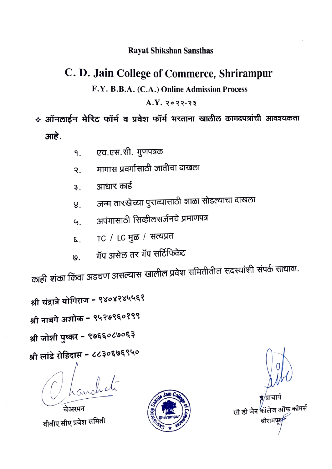#### **Rayat Shikshan Sansthas**

### C. D. Jain College of Commerce, Shrirampur

#### F.Y. B.B.A. (C.A.) Online Admission Process

#### $A.Y. 2022-23$

## \* ऑनलाईन मेरिट फॉर्म व प्रवेश फॉर्म भरताना खालील कागदपत्रांची आवश्यकता आहे.

- एच.एस.सी. गुणपत्रक 9.
- मागास प्रवर्गासाठी जातीचा दाखला २.
- आधार कार्ड  $3<sup>1</sup>$
- जन्म तारखेच्या पुराव्यासाठी शाळा सोडल्याचा दाखला  $8<sub>1</sub>$
- अपंगासाठी सिव्हीलसर्जनचे प्रमाणपत्र  $G_{\perp}$
- TC /  $LC$  मुळ / सत्यप्रत દ.
- गॅप असेल तर गॅप सर्टिफिकेट  $\overline{\mathsf{Q}}$ .

काही शंका किंवा अडचण असल्यास खालील प्रवेश समितीतील सदस्यांशी संपर्क साधावा.

श्री चंद्रात्रे योगिराज - ९४०४२४५५६१

श्री नाबगे अशोक - ९५२७९६०१९९

श्री जोशी पुष्कर - ९७६६०८७०६३

श्री लांडे रोहिदास - ८८३०६७६९५०

चेअरमन बीबीए सीए प्रवेश समिती



ऑफ कॉमर्स सी डी जैन <sup>4</sup>नॉर